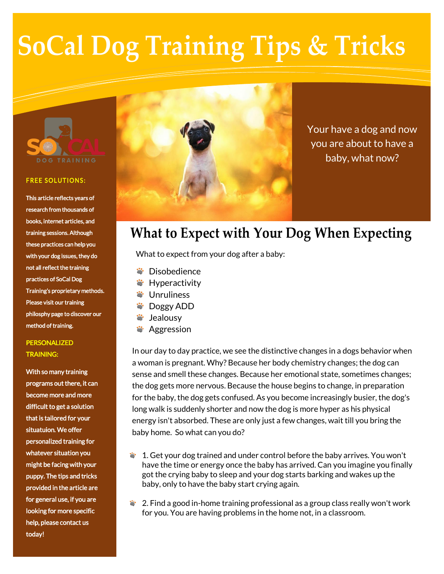# **SoCal Dog Training Tips & Tricks**



#### **FREE SOLUTIONS:**

This article reflects years of research from thousands of books, internet articles, and training sessions. Although these practices can help you with your dog issues, they do not all reflect the training practices of SoCal Dog Training's proprietary methods. Please visit our training philosphy page to discover our method of training.

### PERSONALIZED TRAINING:

With so many training programs out there, it can become more and more difficult to get a solution that is tailored for your situatuion. We offer personalized training for whatever situation you might be facing with your puppy. The tips and tricks provided in the article are for general use, if you are looking for more specific help, please contact us today!



Your have a dog and now you are about to have a baby, what now?

## **What to Expect with Your Dog When Expecting**

What to expect from your dog after a baby:

- Disobedience
- **W**: Hyperactivity
- $\ddot{\bullet}$  Unruliness
- **S** Doggy ADD
- **W**: Jealousy
- **Aggression**

In our day to day practice, we see the distinctive changes in a dogs behavior when a woman is pregnant. Why? Because her body chemistry changes; the dog can sense and smell these changes. Because her emotional state, sometimes changes; the dog gets more nervous. Because the house begins to change, in preparation for the baby, the dog gets confused. As you become increasingly busier, the dog's long walk is suddenly shorter and now the dog is more hyper as his physical energy isn't absorbed. These are only just a few changes, wait till you bring the baby home. So what can you do?

- $\ddot{\bullet}$  1. Get your dog trained and under control before the baby arrives. You won't have the time or energy once the baby has arrived. Can you imagine you finally got the crying baby to sleep and your dog starts barking and wakes up the baby, only to have the baby start crying again.
- $\ddot{\bullet}$  2. Find a good in-home training professional as a group class really won't work for you. You are having problems in the home not, in a classroom.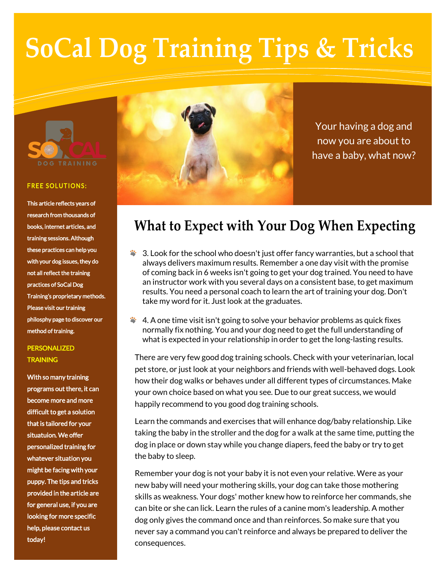# **SoCal Dog Training Tips & Tricks**



#### **FREE SOLUTIONS:**

This article reflects years of research from thousands of books, internet articles, and training sessions. Although these practices can help you with your dog issues, they do not all reflect the training practices of SoCal Dog Training's proprietary methods. Please visit our training philosphy page to discover our method of training.

### PERSONALIZED **TRAINING**

With so many training programs out there, it can become more and more difficult to get a solution that is tailored for your situatuion. We offer personalized training for whatever situation you might be facing with your puppy. The tips and tricks provided in the article are for general use, if you are looking for more specific help, please contact us today!



Your having a dog and now you are about to have a baby, what now?

## **What to Expect with Your Dog When Expecting**

- 3. Look for the school who doesn't just offer fancy warranties, but a school that always delivers maximum results. Remember a one day visit with the promise of coming back in 6 weeks isn't going to get your dog trained. You need to have an instructor work with you several days on a consistent base, to get maximum results. You need a personal coach to learn the art of training your dog. Don't take my word for it. Just look at the graduates.
- $\bullet$  4. A one time visit isn't going to solve your behavior problems as quick fixes normally fix nothing. You and your dog need to get the full understanding of what is expected in your relationship in order to get the long-lasting results.

There are very few good dog training schools. Check with your veterinarian, local pet store, or just look at your neighbors and friends with well-behaved dogs. Look how their dog walks or behaves under all different types of circumstances. Make your own choice based on what you see. Due to our great success, we would happily recommend to you good dog training schools.

Learn the commands and exercises that will enhance dog/baby relationship. Like taking the baby in the stroller and the dog for a walk at the same time, putting the dog in place or down stay while you change diapers, feed the baby or try to get the baby to sleep.

Remember your dog is not your baby it is not even your relative. Were as your new baby will need your mothering skills, your dog can take those mothering skills as weakness. Your dogs' mother knew how to reinforce her commands, she can bite or she can lick. Learn the rules of a canine mom's leadership. A mother dog only gives the command once and than reinforces. So make sure that you never say a command you can't reinforce and always be prepared to deliver the consequences.